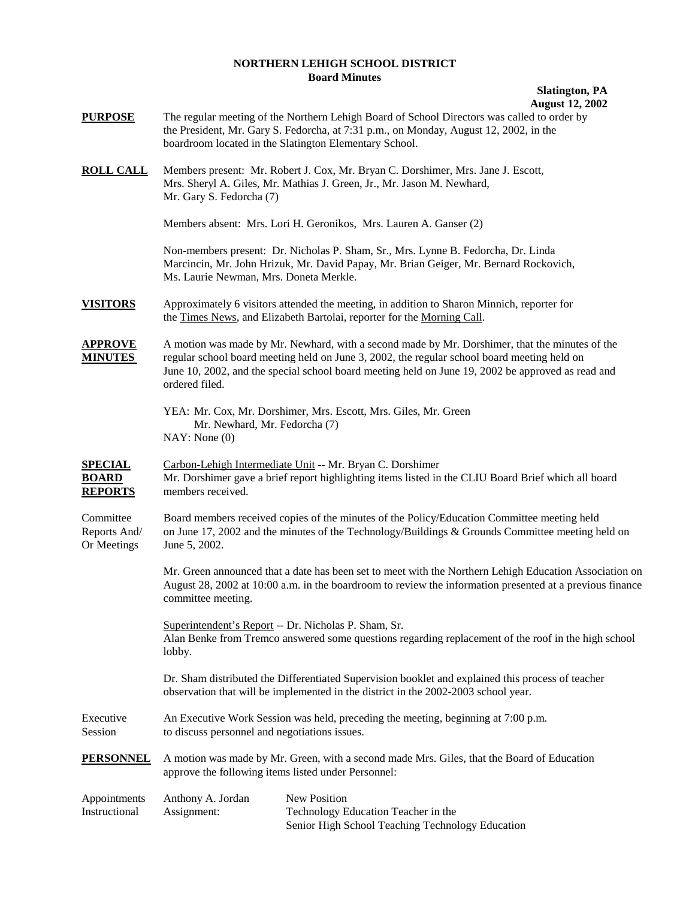## **NORTHERN LEHIGH SCHOOL DISTRICT Board Minutes**

## **Slatington, PA August 12, 2002**

| <b>PURPOSE</b>                                   | The regular meeting of the Northern Lehigh Board of School Directors was called to order by<br>the President, Mr. Gary S. Fedorcha, at 7:31 p.m., on Monday, August 12, 2002, in the<br>boardroom located in the Slatington Elementary School.                                                                       |                                                                                                                                                                                                                    |
|--------------------------------------------------|----------------------------------------------------------------------------------------------------------------------------------------------------------------------------------------------------------------------------------------------------------------------------------------------------------------------|--------------------------------------------------------------------------------------------------------------------------------------------------------------------------------------------------------------------|
| <u>ROLL CALL</u>                                 | Mr. Gary S. Fedorcha (7)                                                                                                                                                                                                                                                                                             | Members present: Mr. Robert J. Cox, Mr. Bryan C. Dorshimer, Mrs. Jane J. Escott,<br>Mrs. Sheryl A. Giles, Mr. Mathias J. Green, Jr., Mr. Jason M. Newhard,                                                         |
|                                                  |                                                                                                                                                                                                                                                                                                                      | Members absent: Mrs. Lori H. Geronikos, Mrs. Lauren A. Ganser (2)                                                                                                                                                  |
|                                                  | Ms. Laurie Newman, Mrs. Doneta Merkle.                                                                                                                                                                                                                                                                               | Non-members present: Dr. Nicholas P. Sham, Sr., Mrs. Lynne B. Fedorcha, Dr. Linda<br>Marcincin, Mr. John Hrizuk, Mr. David Papay, Mr. Brian Geiger, Mr. Bernard Rockovich,                                         |
| VISITORS                                         |                                                                                                                                                                                                                                                                                                                      | Approximately 6 visitors attended the meeting, in addition to Sharon Minnich, reporter for<br>the Times News, and Elizabeth Bartolai, reporter for the Morning Call.                                               |
| <u>APPROVE</u><br><b>MINUTES</b>                 | A motion was made by Mr. Newhard, with a second made by Mr. Dorshimer, that the minutes of the<br>regular school board meeting held on June 3, 2002, the regular school board meeting held on<br>June 10, 2002, and the special school board meeting held on June 19, 2002 be approved as read and<br>ordered filed. |                                                                                                                                                                                                                    |
|                                                  | Mr. Newhard, Mr. Fedorcha (7)<br>NAY: None(0)                                                                                                                                                                                                                                                                        | YEA: Mr. Cox, Mr. Dorshimer, Mrs. Escott, Mrs. Giles, Mr. Green                                                                                                                                                    |
| <u>SPECIAL</u><br><b>BOARD</b><br><u>REPORTS</u> | members received.                                                                                                                                                                                                                                                                                                    | Carbon-Lehigh Intermediate Unit -- Mr. Bryan C. Dorshimer<br>Mr. Dorshimer gave a brief report highlighting items listed in the CLIU Board Brief which all board                                                   |
| Committee<br>Reports And/<br>Or Meetings         | Board members received copies of the minutes of the Policy/Education Committee meeting held<br>on June 17, 2002 and the minutes of the Technology/Buildings & Grounds Committee meeting held on<br>June 5, 2002.                                                                                                     |                                                                                                                                                                                                                    |
|                                                  | committee meeting.                                                                                                                                                                                                                                                                                                   | Mr. Green announced that a date has been set to meet with the Northern Lehigh Education Association on<br>August 28, 2002 at 10:00 a.m. in the boardroom to review the information presented at a previous finance |
|                                                  | lobby.                                                                                                                                                                                                                                                                                                               | Superintendent's Report -- Dr. Nicholas P. Sham, Sr.<br>Alan Benke from Tremco answered some questions regarding replacement of the roof in the high school                                                        |
|                                                  |                                                                                                                                                                                                                                                                                                                      | Dr. Sham distributed the Differentiated Supervision booklet and explained this process of teacher<br>observation that will be implemented in the district in the 2002-2003 school year.                            |
| Executive<br>Session                             | An Executive Work Session was held, preceding the meeting, beginning at 7:00 p.m.<br>to discuss personnel and negotiations issues.                                                                                                                                                                                   |                                                                                                                                                                                                                    |
| <b>PERSONNEL</b>                                 | A motion was made by Mr. Green, with a second made Mrs. Giles, that the Board of Education<br>approve the following items listed under Personnel:                                                                                                                                                                    |                                                                                                                                                                                                                    |
| Appointments<br>Instructional                    | Anthony A. Jordan<br>Assignment:                                                                                                                                                                                                                                                                                     | New Position<br>Technology Education Teacher in the<br>Senior High School Teaching Technology Education                                                                                                            |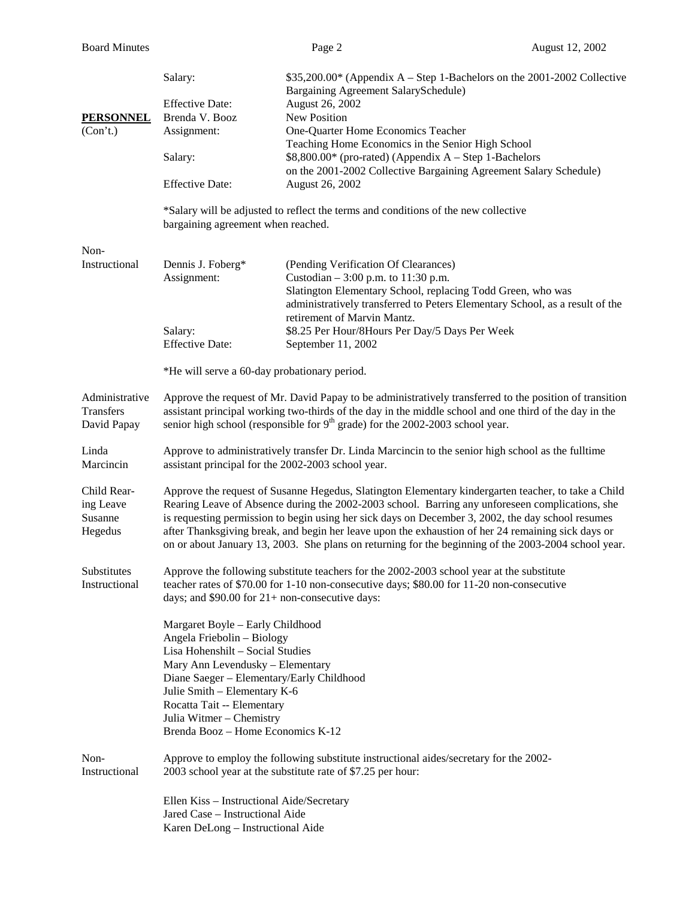|                                                                                                                                                                                                                        | Salary:                                                                                                                                                                                                                                                                                                                                                                                                                                                                                                                   | $$35,200.00*$ (Appendix A – Step 1-Bachelors on the 2001-2002 Collective                                                                                                   |  |
|------------------------------------------------------------------------------------------------------------------------------------------------------------------------------------------------------------------------|---------------------------------------------------------------------------------------------------------------------------------------------------------------------------------------------------------------------------------------------------------------------------------------------------------------------------------------------------------------------------------------------------------------------------------------------------------------------------------------------------------------------------|----------------------------------------------------------------------------------------------------------------------------------------------------------------------------|--|
|                                                                                                                                                                                                                        |                                                                                                                                                                                                                                                                                                                                                                                                                                                                                                                           | Bargaining Agreement SalarySchedule)                                                                                                                                       |  |
|                                                                                                                                                                                                                        | <b>Effective Date:</b>                                                                                                                                                                                                                                                                                                                                                                                                                                                                                                    | August 26, 2002                                                                                                                                                            |  |
| <b>PERSONNEL</b>                                                                                                                                                                                                       | Brenda V. Booz                                                                                                                                                                                                                                                                                                                                                                                                                                                                                                            | New Position                                                                                                                                                               |  |
| (Con't.)                                                                                                                                                                                                               | Assignment:                                                                                                                                                                                                                                                                                                                                                                                                                                                                                                               | One-Quarter Home Economics Teacher                                                                                                                                         |  |
|                                                                                                                                                                                                                        |                                                                                                                                                                                                                                                                                                                                                                                                                                                                                                                           | Teaching Home Economics in the Senior High School                                                                                                                          |  |
|                                                                                                                                                                                                                        | Salary:                                                                                                                                                                                                                                                                                                                                                                                                                                                                                                                   | $$8,800.00*$ (pro-rated) (Appendix A – Step 1-Bachelors                                                                                                                    |  |
|                                                                                                                                                                                                                        |                                                                                                                                                                                                                                                                                                                                                                                                                                                                                                                           | on the 2001-2002 Collective Bargaining Agreement Salary Schedule)                                                                                                          |  |
|                                                                                                                                                                                                                        | <b>Effective Date:</b>                                                                                                                                                                                                                                                                                                                                                                                                                                                                                                    | August 26, 2002                                                                                                                                                            |  |
|                                                                                                                                                                                                                        | *Salary will be adjusted to reflect the terms and conditions of the new collective<br>bargaining agreement when reached.                                                                                                                                                                                                                                                                                                                                                                                                  |                                                                                                                                                                            |  |
| Non-                                                                                                                                                                                                                   |                                                                                                                                                                                                                                                                                                                                                                                                                                                                                                                           |                                                                                                                                                                            |  |
| Instructional                                                                                                                                                                                                          | Dennis J. Foberg*                                                                                                                                                                                                                                                                                                                                                                                                                                                                                                         | (Pending Verification Of Clearances)                                                                                                                                       |  |
|                                                                                                                                                                                                                        | Assignment:                                                                                                                                                                                                                                                                                                                                                                                                                                                                                                               | Custodian $-3:00$ p.m. to 11:30 p.m.                                                                                                                                       |  |
|                                                                                                                                                                                                                        |                                                                                                                                                                                                                                                                                                                                                                                                                                                                                                                           | Slatington Elementary School, replacing Todd Green, who was<br>administratively transferred to Peters Elementary School, as a result of the<br>retirement of Marvin Mantz. |  |
|                                                                                                                                                                                                                        | Salary:                                                                                                                                                                                                                                                                                                                                                                                                                                                                                                                   | \$8.25 Per Hour/8Hours Per Day/5 Days Per Week                                                                                                                             |  |
|                                                                                                                                                                                                                        | <b>Effective Date:</b>                                                                                                                                                                                                                                                                                                                                                                                                                                                                                                    | September 11, 2002                                                                                                                                                         |  |
|                                                                                                                                                                                                                        | *He will serve a 60-day probationary period.                                                                                                                                                                                                                                                                                                                                                                                                                                                                              |                                                                                                                                                                            |  |
| Administrative<br>Transfers<br>David Papay                                                                                                                                                                             | Approve the request of Mr. David Papay to be administratively transferred to the position of transition<br>assistant principal working two-thirds of the day in the middle school and one third of the day in the<br>senior high school (responsible for 9 <sup>th</sup> grade) for the 2002-2003 school year.                                                                                                                                                                                                            |                                                                                                                                                                            |  |
| Linda                                                                                                                                                                                                                  |                                                                                                                                                                                                                                                                                                                                                                                                                                                                                                                           |                                                                                                                                                                            |  |
| Marcincin                                                                                                                                                                                                              | Approve to administratively transfer Dr. Linda Marcincin to the senior high school as the fulltime<br>assistant principal for the 2002-2003 school year.                                                                                                                                                                                                                                                                                                                                                                  |                                                                                                                                                                            |  |
|                                                                                                                                                                                                                        |                                                                                                                                                                                                                                                                                                                                                                                                                                                                                                                           |                                                                                                                                                                            |  |
| Child Rear-<br>ing Leave<br>Susanne<br>Hegedus                                                                                                                                                                         | Approve the request of Susanne Hegedus, Slatington Elementary kindergarten teacher, to take a Child<br>Rearing Leave of Absence during the 2002-2003 school. Barring any unforeseen complications, she<br>is requesting permission to begin using her sick days on December 3, 2002, the day school resumes<br>after Thanksgiving break, and begin her leave upon the exhaustion of her 24 remaining sick days or<br>on or about January 13, 2003. She plans on returning for the beginning of the 2003-2004 school year. |                                                                                                                                                                            |  |
|                                                                                                                                                                                                                        |                                                                                                                                                                                                                                                                                                                                                                                                                                                                                                                           |                                                                                                                                                                            |  |
| Approve the following substitute teachers for the 2002-2003 school year at the substitute<br>Substitutes<br>teacher rates of \$70.00 for 1-10 non-consecutive days; \$80.00 for 11-20 non-consecutive<br>Instructional |                                                                                                                                                                                                                                                                                                                                                                                                                                                                                                                           |                                                                                                                                                                            |  |
|                                                                                                                                                                                                                        | days; and $$90.00$ for $21+$ non-consecutive days:                                                                                                                                                                                                                                                                                                                                                                                                                                                                        |                                                                                                                                                                            |  |
|                                                                                                                                                                                                                        | Margaret Boyle - Early Childhood<br>Angela Friebolin - Biology<br>Lisa Hohenshilt - Social Studies<br>Mary Ann Levendusky - Elementary<br>Diane Saeger - Elementary/Early Childhood                                                                                                                                                                                                                                                                                                                                       |                                                                                                                                                                            |  |
|                                                                                                                                                                                                                        | Julie Smith - Elementary K-6                                                                                                                                                                                                                                                                                                                                                                                                                                                                                              |                                                                                                                                                                            |  |
|                                                                                                                                                                                                                        | Rocatta Tait -- Elementary                                                                                                                                                                                                                                                                                                                                                                                                                                                                                                |                                                                                                                                                                            |  |
|                                                                                                                                                                                                                        | Julia Witmer - Chemistry                                                                                                                                                                                                                                                                                                                                                                                                                                                                                                  |                                                                                                                                                                            |  |
|                                                                                                                                                                                                                        | Brenda Booz - Home Economics K-12                                                                                                                                                                                                                                                                                                                                                                                                                                                                                         |                                                                                                                                                                            |  |
| Non-<br>Instructional                                                                                                                                                                                                  | Approve to employ the following substitute instructional aides/secretary for the 2002-<br>2003 school year at the substitute rate of \$7.25 per hour:                                                                                                                                                                                                                                                                                                                                                                     |                                                                                                                                                                            |  |
|                                                                                                                                                                                                                        | Ellen Kiss - Instructional Aide/Secretary<br>Jared Case - Instructional Aide<br>Karen DeLong - Instructional Aide                                                                                                                                                                                                                                                                                                                                                                                                         |                                                                                                                                                                            |  |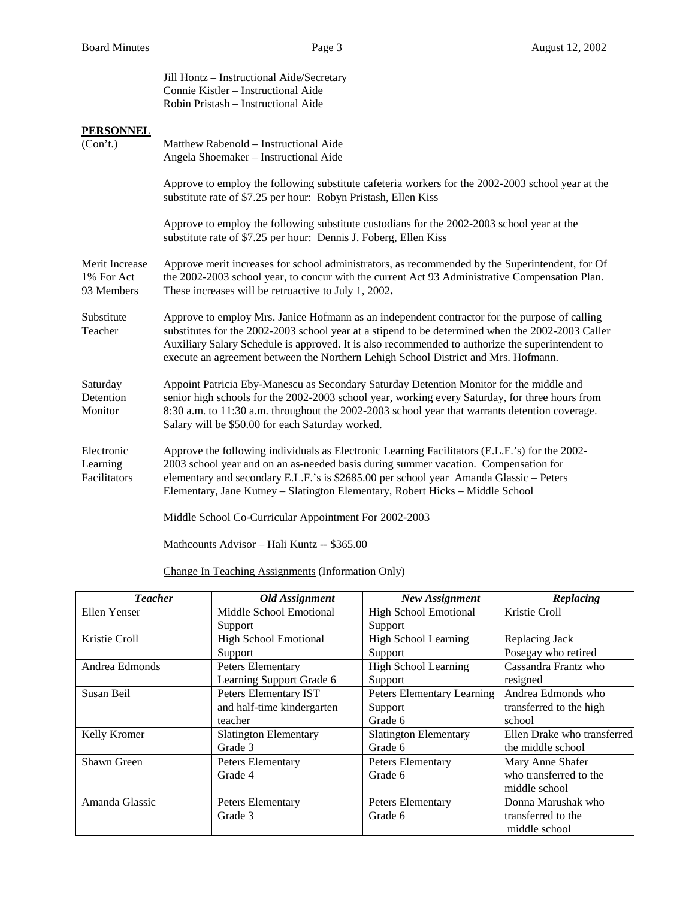Jill Hontz – Instructional Aide/Secretary Connie Kistler – Instructional Aide Robin Pristash – Instructional Aide **PERSONNEL** (Con't.) Matthew Rabenold – Instructional Aide Angela Shoemaker – Instructional Aide Approve to employ the following substitute cafeteria workers for the 2002-2003 school year at the substitute rate of \$7.25 per hour: Robyn Pristash, Ellen Kiss Approve to employ the following substitute custodians for the 2002-2003 school year at the substitute rate of \$7.25 per hour: Dennis J. Foberg, Ellen Kiss Merit Increase Approve merit increases for school administrators, as recommended by the Superintendent, for Of 1% For Act the 2002-2003 school year, to concur with the current Act 93 Administrative Compensation Plan. 93 Members These increases will be retroactive to July 1, 2002**.**  Substitute Approve to employ Mrs. Janice Hofmann as an independent contractor for the purpose of calling Teacher substitutes for the 2002-2003 school year at a stipend to be determined when the 2002-2003 Caller Auxiliary Salary Schedule is approved. It is also recommended to authorize the superintendent to execute an agreement between the Northern Lehigh School District and Mrs. Hofmann. Saturday Appoint Patricia Eby-Manescu as Secondary Saturday Detention Monitor for the middle and Detention senior high schools for the 2002-2003 school year, working every Saturday, for three hours from Monitor 8:30 a.m. to 11:30 a.m. throughout the 2002-2003 school year that warrants detention coverage. Salary will be \$50.00 for each Saturday worked. Electronic Approve the following individuals as Electronic Learning Facilitators (E.L.F.'s) for the 2002- Learning 2003 school year and on an as-needed basis during summer vacation. Compensation for Facilitators elementary and secondary E.L.F.'s is \$2685.00 per school year Amanda Glassic – Peters Elementary, Jane Kutney – Slatington Elementary, Robert Hicks – Middle School Middle School Co-Curricular Appointment For 2002-2003

Mathcounts Advisor – Hali Kuntz -- \$365.00

Change In Teaching Assignments (Information Only)

| <b>Teacher</b> | Old Assignment               | New Assignment               | Replacing                   |
|----------------|------------------------------|------------------------------|-----------------------------|
| Ellen Yenser   | Middle School Emotional      | <b>High School Emotional</b> | Kristie Croll               |
|                | Support                      | Support                      |                             |
| Kristie Croll  | <b>High School Emotional</b> | <b>High School Learning</b>  | Replacing Jack              |
|                | Support                      | Support                      | Posegay who retired         |
| Andrea Edmonds | Peters Elementary            | <b>High School Learning</b>  | Cassandra Frantz who        |
|                | Learning Support Grade 6     | Support                      | resigned                    |
| Susan Beil     | Peters Elementary IST        | Peters Elementary Learning   | Andrea Edmonds who          |
|                | and half-time kindergarten   | Support                      | transferred to the high     |
|                | teacher                      | Grade 6                      | school                      |
| Kelly Kromer   | <b>Slatington Elementary</b> | <b>Slatington Elementary</b> | Ellen Drake who transferred |
|                | Grade 3                      | Grade 6                      | the middle school           |
| Shawn Green    | Peters Elementary            | Peters Elementary            | Mary Anne Shafer            |
|                | Grade 4                      | Grade 6                      | who transferred to the      |
|                |                              |                              | middle school               |
| Amanda Glassic | Peters Elementary            | Peters Elementary            | Donna Marushak who          |
|                | Grade 3                      | Grade 6                      | transferred to the          |
|                |                              |                              | middle school               |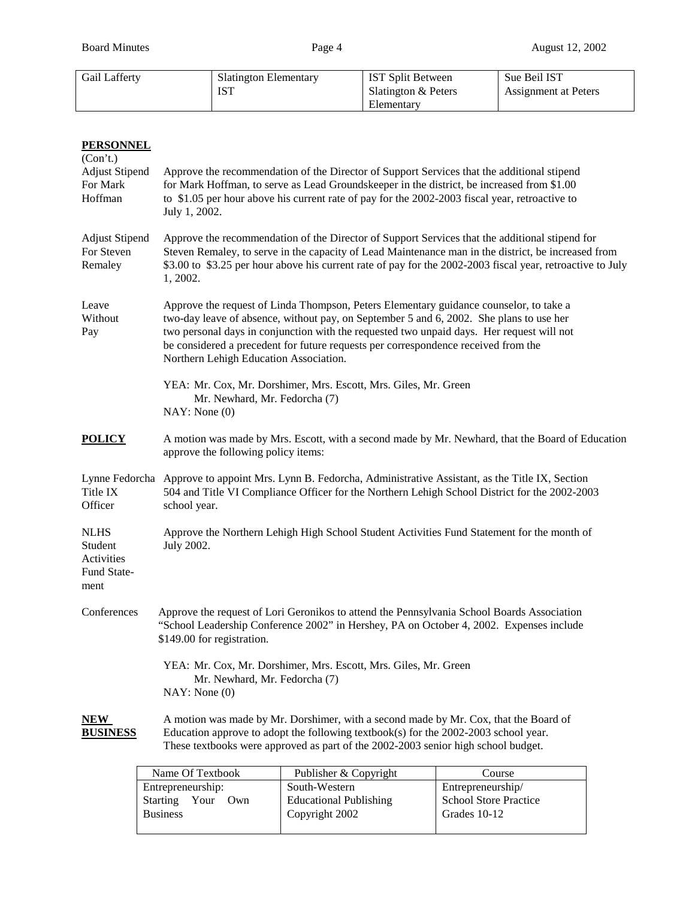| Gail Lafferty | <b>Slatington Elementary</b> | IST Split Between   | Sue Beil IST         |
|---------------|------------------------------|---------------------|----------------------|
|               | 10 I                         | Slatington & Peters | Assignment at Peters |
|               |                              | Elementary          |                      |

| <b>PERSONNEL</b><br>(Con't.)                                |                                                                                                                                                                                                                                                                                                                                                                                                                |  |  |
|-------------------------------------------------------------|----------------------------------------------------------------------------------------------------------------------------------------------------------------------------------------------------------------------------------------------------------------------------------------------------------------------------------------------------------------------------------------------------------------|--|--|
| <b>Adjust Stipend</b><br>For Mark<br>Hoffman                | Approve the recommendation of the Director of Support Services that the additional stipend<br>for Mark Hoffman, to serve as Lead Groundskeeper in the district, be increased from \$1.00<br>to \$1.05 per hour above his current rate of pay for the 2002-2003 fiscal year, retroactive to<br>July 1, 2002.                                                                                                    |  |  |
| <b>Adjust Stipend</b><br>For Steven<br>Remaley              | Approve the recommendation of the Director of Support Services that the additional stipend for<br>Steven Remaley, to serve in the capacity of Lead Maintenance man in the district, be increased from<br>\$3.00 to \$3.25 per hour above his current rate of pay for the 2002-2003 fiscal year, retroactive to July<br>1, 2002.                                                                                |  |  |
| Leave<br>Without<br>Pay                                     | Approve the request of Linda Thompson, Peters Elementary guidance counselor, to take a<br>two-day leave of absence, without pay, on September 5 and 6, 2002. She plans to use her<br>two personal days in conjunction with the requested two unpaid days. Her request will not<br>be considered a precedent for future requests per correspondence received from the<br>Northern Lehigh Education Association. |  |  |
|                                                             | YEA: Mr. Cox, Mr. Dorshimer, Mrs. Escott, Mrs. Giles, Mr. Green<br>Mr. Newhard, Mr. Fedorcha (7)<br>NAY: None(0)                                                                                                                                                                                                                                                                                               |  |  |
| <b>POLICY</b>                                               | A motion was made by Mrs. Escott, with a second made by Mr. Newhard, that the Board of Education<br>approve the following policy items:                                                                                                                                                                                                                                                                        |  |  |
| Title IX<br>Officer                                         | Lynne Fedorcha Approve to appoint Mrs. Lynn B. Fedorcha, Administrative Assistant, as the Title IX, Section<br>504 and Title VI Compliance Officer for the Northern Lehigh School District for the 2002-2003<br>school year.                                                                                                                                                                                   |  |  |
| <b>NLHS</b><br>Student<br>Activities<br>Fund State-<br>ment | Approve the Northern Lehigh High School Student Activities Fund Statement for the month of<br>July 2002.                                                                                                                                                                                                                                                                                                       |  |  |
| Conferences                                                 | Approve the request of Lori Geronikos to attend the Pennsylvania School Boards Association<br>"School Leadership Conference 2002" in Hershey, PA on October 4, 2002. Expenses include<br>\$149.00 for registration.                                                                                                                                                                                            |  |  |
|                                                             | YEA: Mr. Cox, Mr. Dorshimer, Mrs. Escott, Mrs. Giles, Mr. Green<br>Mr. Newhard, Mr. Fedorcha (7)<br>NAY: None(0)                                                                                                                                                                                                                                                                                               |  |  |
| <b>NEW</b><br><b>BUSINESS</b>                               | A motion was made by Mr. Dorshimer, with a second made by Mr. Cox, that the Board of<br>Education approve to adopt the following textbook(s) for the $2002-2003$ school year.<br>These textbooks were approved as part of the 2002-2003 senior high school budget.                                                                                                                                             |  |  |
|                                                             | Name Of Textbook<br>Publisher & Copyright<br>Course                                                                                                                                                                                                                                                                                                                                                            |  |  |

| Name Of Textbook     | Publisher & Copyright         | Course                       |
|----------------------|-------------------------------|------------------------------|
| Entrepreneurship:    | South-Western                 | Entrepreneurship/            |
| Starting Your<br>Own | <b>Educational Publishing</b> | <b>School Store Practice</b> |
| <b>Business</b>      | Copyright 2002                | Grades 10-12                 |
|                      |                               |                              |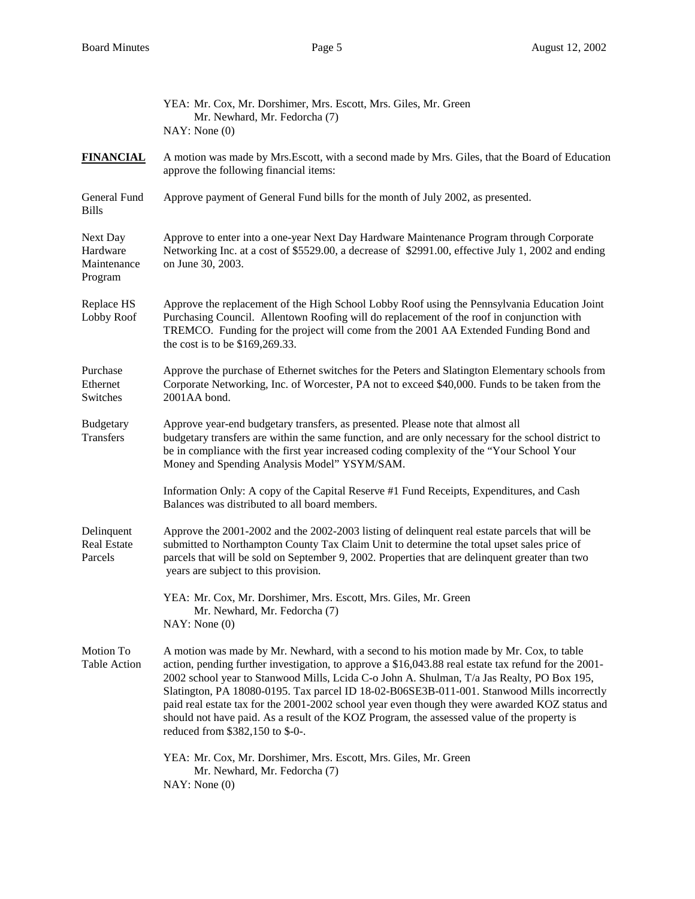|                                                | YEA: Mr. Cox, Mr. Dorshimer, Mrs. Escott, Mrs. Giles, Mr. Green<br>Mr. Newhard, Mr. Fedorcha (7)<br>NAY: None(0)                                                                                                                                                                                                                                                                                                                                                                                                                                                                                                                  |
|------------------------------------------------|-----------------------------------------------------------------------------------------------------------------------------------------------------------------------------------------------------------------------------------------------------------------------------------------------------------------------------------------------------------------------------------------------------------------------------------------------------------------------------------------------------------------------------------------------------------------------------------------------------------------------------------|
| <b>FINANCIAL</b>                               | A motion was made by Mrs. Escott, with a second made by Mrs. Giles, that the Board of Education<br>approve the following financial items:                                                                                                                                                                                                                                                                                                                                                                                                                                                                                         |
| General Fund<br><b>Bills</b>                   | Approve payment of General Fund bills for the month of July 2002, as presented.                                                                                                                                                                                                                                                                                                                                                                                                                                                                                                                                                   |
| Next Day<br>Hardware<br>Maintenance<br>Program | Approve to enter into a one-year Next Day Hardware Maintenance Program through Corporate<br>Networking Inc. at a cost of \$5529.00, a decrease of \$2991.00, effective July 1, 2002 and ending<br>on June 30, 2003.                                                                                                                                                                                                                                                                                                                                                                                                               |
| Replace HS<br>Lobby Roof                       | Approve the replacement of the High School Lobby Roof using the Pennsylvania Education Joint<br>Purchasing Council. Allentown Roofing will do replacement of the roof in conjunction with<br>TREMCO. Funding for the project will come from the 2001 AA Extended Funding Bond and<br>the cost is to be \$169,269.33.                                                                                                                                                                                                                                                                                                              |
| Purchase<br>Ethernet<br>Switches               | Approve the purchase of Ethernet switches for the Peters and Slatington Elementary schools from<br>Corporate Networking, Inc. of Worcester, PA not to exceed \$40,000. Funds to be taken from the<br>2001AA bond.                                                                                                                                                                                                                                                                                                                                                                                                                 |
| <b>Budgetary</b><br><b>Transfers</b>           | Approve year-end budgetary transfers, as presented. Please note that almost all<br>budgetary transfers are within the same function, and are only necessary for the school district to<br>be in compliance with the first year increased coding complexity of the "Your School Your<br>Money and Spending Analysis Model" YSYM/SAM.                                                                                                                                                                                                                                                                                               |
|                                                | Information Only: A copy of the Capital Reserve #1 Fund Receipts, Expenditures, and Cash<br>Balances was distributed to all board members.                                                                                                                                                                                                                                                                                                                                                                                                                                                                                        |
| Delinquent<br><b>Real Estate</b><br>Parcels    | Approve the 2001-2002 and the 2002-2003 listing of delinquent real estate parcels that will be<br>submitted to Northampton County Tax Claim Unit to determine the total upset sales price of<br>parcels that will be sold on September 9, 2002. Properties that are delinquent greater than two<br>years are subject to this provision.                                                                                                                                                                                                                                                                                           |
|                                                | YEA: Mr. Cox, Mr. Dorshimer, Mrs. Escott, Mrs. Giles, Mr. Green<br>Mr. Newhard, Mr. Fedorcha (7)<br>NAY: None(0)                                                                                                                                                                                                                                                                                                                                                                                                                                                                                                                  |
| Motion To<br><b>Table Action</b>               | A motion was made by Mr. Newhard, with a second to his motion made by Mr. Cox, to table<br>action, pending further investigation, to approve a \$16,043.88 real estate tax refund for the 2001-<br>2002 school year to Stanwood Mills, Lcida C-o John A. Shulman, T/a Jas Realty, PO Box 195,<br>Slatington, PA 18080-0195. Tax parcel ID 18-02-B06SE3B-011-001. Stanwood Mills incorrectly<br>paid real estate tax for the 2001-2002 school year even though they were awarded KOZ status and<br>should not have paid. As a result of the KOZ Program, the assessed value of the property is<br>reduced from \$382,150 to \$-0-. |
|                                                | YEA: Mr. Cox, Mr. Dorshimer, Mrs. Escott, Mrs. Giles, Mr. Green<br>Mr. Newhard, Mr. Fedorcha (7)<br>NAY: None(0)                                                                                                                                                                                                                                                                                                                                                                                                                                                                                                                  |